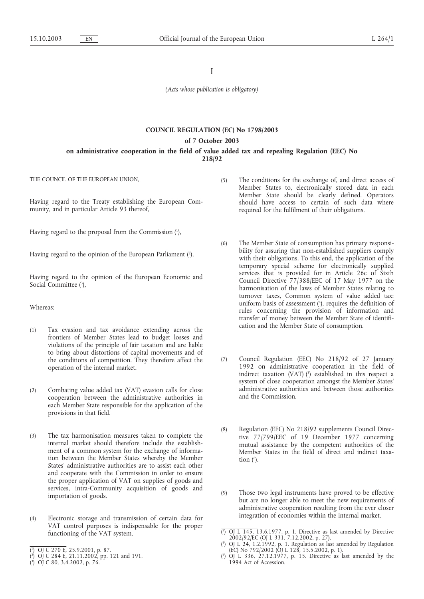I

*(Acts whose publication is obligatory)*

# **COUNCIL REGULATION (EC) No 1798/2003 of 7 October 2003 on administrative cooperation in the field of value added tax and repealing Regulation (EEC) No 218/92**

THE COUNCIL OF THE EUROPEAN UNION,

Having regard to the Treaty establishing the European Community, and in particular Article 93 thereof,

Having regard to the proposal from the Commission (1 ),

Having regard to the opinion of the European Parliament (2),

Having regard to the opinion of the European Economic and Social Committee (3),

Whereas:

- (1) Tax evasion and tax avoidance extending across the frontiers of Member States lead to budget losses and violations of the principle of fair taxation and are liable to bring about distortions of capital movements and of the conditions of competition. They therefore affect the operation of the internal market.
- (2) Combating value added tax (VAT) evasion calls for close cooperation between the administrative authorities in each Member State responsible for the application of the provisions in that field.
- (3) The tax harmonisation measures taken to complete the internal market should therefore include the establishment of a common system for the exchange of information between the Member States whereby the Member States' administrative authorities are to assist each other and cooperate with the Commission in order to ensure the proper application of VAT on supplies of goods and services, intra-Community acquisition of goods and importation of goods.
- (4) Electronic storage and transmission of certain data for VAT control purposes is indispensable for the proper functioning of the VAT system.
- (5) The conditions for the exchange of, and direct access of Member States to, electronically stored data in each Member State should be clearly defined. Operators should have access to certain of such data where required for the fulfilment of their obligations.
- (6) The Member State of consumption has primary responsibility for assuring that non-established suppliers comply with their obligations. To this end, the application of the temporary special scheme for electronically supplied services that is provided for in Article 26c of Sixth Council Directive 77/388/EEC of 17 May 1977 on the harmonisation of the laws of Member States relating to turnover taxes, Common system of value added tax: uniform basis of assessment (4 ), requires the definition of rules concerning the provision of information and transfer of money between the Member State of identification and the Member State of consumption.
- (7) Council Regulation (EEC) No 218/92 of 27 January 1992 on administrative cooperation in the field of indirect taxation (VAT) $(5)$  established in this respect a system of close cooperation amongst the Member States' administrative authorities and between those authorities and the Commission.
- (8) Regulation (EEC) No 218/92 supplements Council Directive 77/799/EEC of 19 December 1977 concerning mutual assistance by the competent authorities of the Member States in the field of direct and indirect taxation  $(6)$ .
- (9) Those two legal instruments have proved to be effective but are no longer able to meet the new requirements of administrative cooperation resulting from the ever closer integration of economies within the internal market.

<sup>(</sup> 1 ) OJ C 270 E, 25.9.2001, p. 87.

<sup>(</sup> 2 ) OJ C 284 E, 21.11.2002, pp. 121 and 191.

<sup>(</sup> 3 ) OJ C 80, 3.4.2002, p. 76.

<sup>(</sup> 4 ) OJ L 145, 13.6.1977, p. 1. Directive as last amended by Directive 2002/92/EC (OJ L 331, 7.12.2002, p. 27).

<sup>(</sup> 5 ) OJ L 24, 1.2.1992, p. 1. Regulation as last amended by Regulation (EC) No 792/2002 (OJ L 128, 15.5.2002, p. 1).

<sup>(</sup> 6 ) OJ L 336, 27.12.1977, p. 15. Directive as last amended by the 1994 Act of Accession.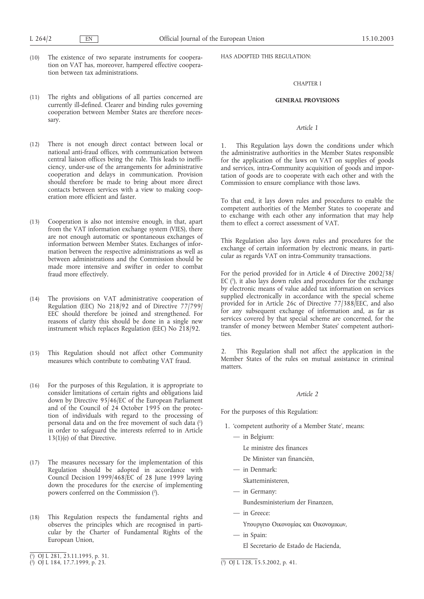- (10) The existence of two separate instruments for cooperation on VAT has, moreover, hampered effective cooperation between tax administrations.
- (11) The rights and obligations of all parties concerned are currently ill-defined. Clearer and binding rules governing cooperation between Member States are therefore necessary.
- (12) There is not enough direct contact between local or national anti-fraud offices, with communication between central liaison offices being the rule. This leads to inefficiency, under-use of the arrangements for administrative cooperation and delays in communication. Provision should therefore be made to bring about more direct contacts between services with a view to making cooperation more efficient and faster.
- (13) Cooperation is also not intensive enough, in that, apart from the VAT information exchange system (VIES), there are not enough automatic or spontaneous exchanges of information between Member States. Exchanges of information between the respective administrations as well as between administrations and the Commission should be made more intensive and swifter in order to combat fraud more effectively.
- (14) The provisions on VAT administrative cooperation of Regulation (EEC) No 218/92 and of Directive 77/799/ EEC should therefore be joined and strengthened. For reasons of clarity this should be done in a single new instrument which replaces Regulation (EEC) No 218/92.
- (15) This Regulation should not affect other Community measures which contribute to combating VAT fraud.
- (16) For the purposes of this Regulation, it is appropriate to consider limitations of certain rights and obligations laid down by Directive 95/46/EC of the European Parliament and of the Council of 24 October 1995 on the protection of individuals with regard to the processing of personal data and on the free movement of such data (<sup>1</sup>) in order to safeguard the interests referred to in Article 13(1)(e) of that Directive.
- (17) The measures necessary for the implementation of this Regulation should be adopted in accordance with Council Decision 1999/468/EC of 28 June 1999 laying down the procedures for the exercise of implementing powers conferred on the Commission (2).
- (18) This Regulation respects the fundamental rights and observes the principles which are recognised in particular by the Charter of Fundamental Rights of the European Union,

HAS ADOPTED THIS REGULATION:

## CHAPTER I

## **GENERAL PROVISIONS**

# *Article 1*

1. This Regulation lays down the conditions under which the administrative authorities in the Member States responsible for the application of the laws on VAT on supplies of goods and services, intra-Community acquisition of goods and importation of goods are to cooperate with each other and with the Commission to ensure compliance with those laws.

To that end, it lays down rules and procedures to enable the competent authorities of the Member States to cooperate and to exchange with each other any information that may help them to effect a correct assessment of VAT.

This Regulation also lays down rules and procedures for the exchange of certain information by electronic means, in particular as regards VAT on intra-Community transactions.

For the period provided for in Article 4 of Directive 2002/38/ EC  $(3)$ , it also lays down rules and procedures for the exchange by electronic means of value added tax information on services supplied electronically in accordance with the special scheme provided for in Article 26c of Directive 77/388/EEC, and also for any subsequent exchange of information and, as far as services covered by that special scheme are concerned, for the transfer of money between Member States' competent authorities.

2. This Regulation shall not affect the application in the Member States of the rules on mutual assistance in criminal matters.

## *Article 2*

For the purposes of this Regulation:

- 1. 'competent authority of a Member State', means:
	- in Belgium:
		- Le ministre des finances
		- De Minister van financiën,
	- in Denmark:
		- Skatteministeren,
	- in Germany:
		- Bundesministerium der Finanzen,
	- in Greece:
		- Yπουργειο Oικονοµίας και Οικονοµικων,
	- in Spain:

El Secretario de Estado de Hacienda,

3 ) OJ L 128, 15.5.2002, p. 41.

<sup>(</sup> 1 ) OJ L 281, 23.11.1995, p. 31.

<sup>(</sup> 2 ) OJ L 184, 17.7.1999, p. 23. (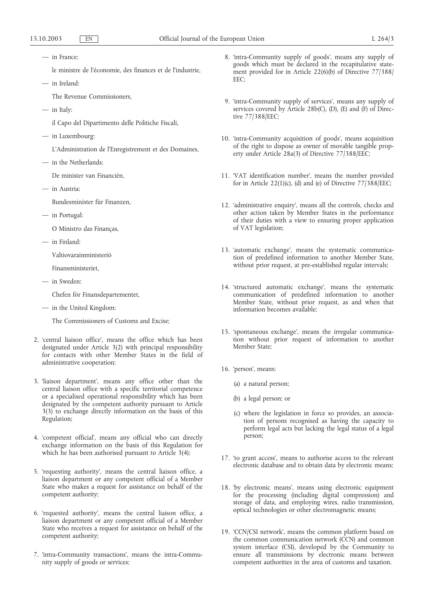- in France:
	- le ministre de l'économie, des finances et de l'industrie,
- in Ireland:
	- The Revenue Commissioners,
- in Italy:
	- il Capo del Dipartimento delle Politiche Fiscali,
- in Luxembourg:
	- L'Administration de l'Enregistrement et des Domaines,
- in the Netherlands:
	- De minister van Financiën,
- in Austria:
	- Bundesminister für Finanzen,
- in Portugal:
	- O Ministro das Finanças,
- in Finland:
	- Valtiovarainministeriö
	- Finansministeriet,
- in Sweden:
	- Chefen för Finansdepartementet,
- in the United Kingdom:

The Commissioners of Customs and Excise;

- 2. 'central liaison office', means the office which has been designated under Article 3(2) with principal responsibility for contacts with other Member States in the field of administrative cooperation;
- 3. 'liaison department', means any office other than the central liaison office with a specific territorial competence or a specialised operational responsibility which has been designated by the competent authority pursuant to Article 3(3) to exchange directly information on the basis of this Regulation;
- 4. 'competent official', means any official who can directly exchange information on the basis of this Regulation for which he has been authorised pursuant to Article 3(4);
- 5. 'requesting authority', means the central liaison office, a liaison department or any competent official of a Member State who makes a request for assistance on behalf of the competent authority;
- 6. 'requested authority', means the central liaison office, a liaison department or any competent official of a Member State who receives a request for assistance on behalf of the competent authority;
- 7. 'intra-Community transactions', means the intra-Community supply of goods or services;
- 8. 'intra-Community supply of goods', means any supply of goods which must be declared in the recapitulative statement provided for in Article 22(6)(b) of Directive 77/388/ EEC;
- 9. 'intra-Community supply of services', means any supply of services covered by Article 28b(C), (D), (E) and (F) of Directive 77/388/EEC;
- 10. 'intra-Community acquisition of goods', means acquisition of the right to dispose as owner of movable tangible property under Article 28a(3) of Directive 77/388/EEC;
- 11. 'VAT identification number', means the number provided for in Article 22(1)(c), (d) and (e) of Directive  $77/388/EEC$ ;
- 12. 'administrative enquiry', means all the controls, checks and other action taken by Member States in the performance of their duties with a view to ensuring proper application of VAT legislation;
- 13. 'automatic exchange', means the systematic communication of predefined information to another Member State, without prior request, at pre-established regular intervals;
- 14. 'structured automatic exchange', means the systematic communication of predefined information to another Member State, without prior request, as and when that information becomes available;
- 15. 'spontaneous exchange', means the irregular communication without prior request of information to another Member State;
- 16. 'person', means:
	- (a) a natural person;
	- (b) a legal person; or
	- (c) where the legislation in force so provides, an association of persons recognised as having the capacity to perform legal acts but lacking the legal status of a legal person;
- 17. 'to grant access', means to authorise access to the relevant electronic database and to obtain data by electronic means;
- 18. 'by electronic means', means using electronic equipment for the processing (including digital compression) and storage of data, and employing wires, radio transmission, optical technologies or other electromagnetic means;
- 19. 'CCN/CSI network', means the common platform based on the common communication network (CCN) and common system interface (CSI), developed by the Community to ensure all transmissions by electronic means between competent authorities in the area of customs and taxation.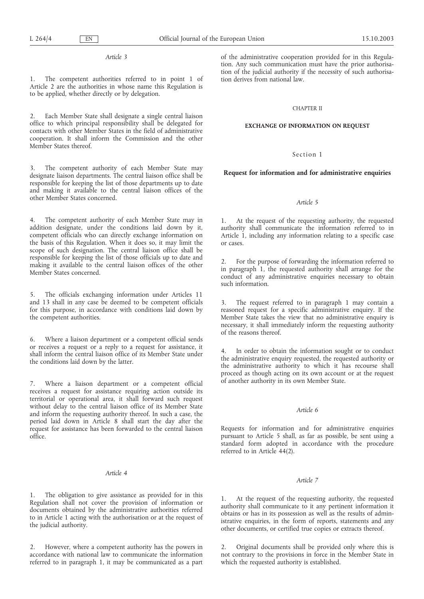The competent authorities referred to in point 1 of Article 2 are the authorities in whose name this Regulation is to be applied, whether directly or by delegation.

2. Each Member State shall designate a single central liaison office to which principal responsibility shall be delegated for contacts with other Member States in the field of administrative cooperation. It shall inform the Commission and the other Member States thereof.

3. The competent authority of each Member State may designate liaison departments. The central liaison office shall be responsible for keeping the list of those departments up to date and making it available to the central liaison offices of the other Member States concerned.

4. The competent authority of each Member State may in addition designate, under the conditions laid down by it, competent officials who can directly exchange information on the basis of this Regulation. When it does so, it may limit the scope of such designation. The central liaison office shall be responsible for keeping the list of those officials up to date and making it available to the central liaison offices of the other Member States concerned.

5. The officials exchanging information under Articles 11 and 13 shall in any case be deemed to be competent officials for this purpose, in accordance with conditions laid down by the competent authorities.

6. Where a liaison department or a competent official sends or receives a request or a reply to a request for assistance, it shall inform the central liaison office of its Member State under the conditions laid down by the latter.

7. Where a liaison department or a competent official receives a request for assistance requiring action outside its territorial or operational area, it shall forward such request without delay to the central liaison office of its Member State and inform the requesting authority thereof. In such a case, the period laid down in Article 8 shall start the day after the request for assistance has been forwarded to the central liaison office.

# *Article 4*

1. The obligation to give assistance as provided for in this Regulation shall not cover the provision of information or documents obtained by the administrative authorities referred to in Article 1 acting with the authorisation or at the request of the judicial authority.

2. However, where a competent authority has the powers in accordance with national law to communicate the information referred to in paragraph 1, it may be communicated as a part of the administrative cooperation provided for in this Regulation. Any such communication must have the prior authorisation of the judicial authority if the necessity of such authorisation derives from national law.

## CHAPTER II

#### **EXCHANGE OF INFORMATION ON REQUEST**

## Section 1

#### **Request for information and for administrative enquiries**

#### *Article 5*

1. At the request of the requesting authority, the requested authority shall communicate the information referred to in Article 1, including any information relating to a specific case or cases.

2. For the purpose of forwarding the information referred to in paragraph 1, the requested authority shall arrange for the conduct of any administrative enquiries necessary to obtain such information.

3. The request referred to in paragraph 1 may contain a reasoned request for a specific administrative enquiry. If the Member State takes the view that no administrative enquiry is necessary, it shall immediately inform the requesting authority of the reasons thereof.

In order to obtain the information sought or to conduct the administrative enquiry requested, the requested authority or the administrative authority to which it has recourse shall proceed as though acting on its own account or at the request of another authority in its own Member State.

# *Article 6*

Requests for information and for administrative enquiries pursuant to Article 5 shall, as far as possible, be sent using a standard form adopted in accordance with the procedure referred to in Article 44(2).

#### *Article 7*

1. At the request of the requesting authority, the requested authority shall communicate to it any pertinent information it obtains or has in its possession as well as the results of administrative enquiries, in the form of reports, statements and any other documents, or certified true copies or extracts thereof.

2. Original documents shall be provided only where this is not contrary to the provisions in force in the Member State in which the requested authority is established.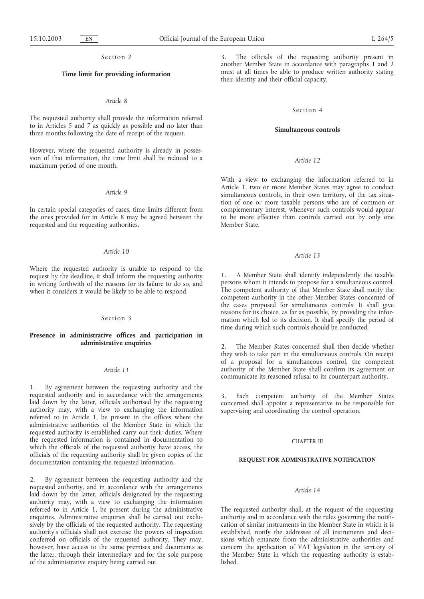#### Section 2

# **Time limit for providing information**

# *Article 8*

The requested authority shall provide the information referred to in Articles 5 and 7 as quickly as possible and no later than three months following the date of receipt of the request.

However, where the requested authority is already in possession of that information, the time limit shall be reduced to a maximum period of one month.

## *Article 9*

In certain special categories of cases, time limits different from the ones provided for in Article 8 may be agreed between the requested and the requesting authorities.

#### *Article 10*

Where the requested authority is unable to respond to the request by the deadline, it shall inform the requesting authority in writing forthwith of the reasons for its failure to do so, and when it considers it would be likely to be able to respond.

#### Section 3

# **Presence in administrative offices and participation in administrative enquiries**

# *Article 11*

1. By agreement between the requesting authority and the requested authority and in accordance with the arrangements laid down by the latter, officials authorised by the requesting authority may, with a view to exchanging the information referred to in Article 1, be present in the offices where the administrative authorities of the Member State in which the requested authority is established carry out their duties. Where the requested information is contained in documentation to which the officials of the requested authority have access, the officials of the requesting authority shall be given copies of the documentation containing the requested information.

2. By agreement between the requesting authority and the requested authority, and in accordance with the arrangements laid down by the latter, officials designated by the requesting authority may, with a view to exchanging the information referred to in Article 1, be present during the administrative enquiries. Administrative enquiries shall be carried out exclusively by the officials of the requested authority. The requesting authority's officials shall not exercise the powers of inspection conferred on officials of the requested authority. They may, however, have access to the same premises and documents as the latter, through their intermediary and for the sole purpose of the administrative enquiry being carried out.

3. The officials of the requesting authority present in another Member State in accordance with paragraphs 1 and 2 must at all times be able to produce written authority stating their identity and their official capacity.

#### Section 4

#### **Simultaneous controls**

# *Article 12*

With a view to exchanging the information referred to in Article 1, two or more Member States may agree to conduct simultaneous controls, in their own territory, of the tax situation of one or more taxable persons who are of common or complementary interest, whenever such controls would appear to be more effective than controls carried out by only one Member State.

## *Article 13*

1. A Member State shall identify independently the taxable persons whom it intends to propose for a simultaneous control. The competent authority of that Member State shall notify the competent authority in the other Member States concerned of the cases proposed for simultaneous controls. It shall give reasons for its choice, as far as possible, by providing the information which led to its decision. It shall specify the period of time during which such controls should be conducted.

2. The Member States concerned shall then decide whether they wish to take part in the simultaneous controls. On receipt of a proposal for a simultaneous control, the competent authority of the Member State shall confirm its agreement or communicate its reasoned refusal to its counterpart authority.

3. Each competent authority of the Member States concerned shall appoint a representative to be responsible for supervising and coordinating the control operation.

#### CHAPTER III

#### **REQUEST FOR ADMINISTRATIVE NOTIFICATION**

#### *Article 14*

The requested authority shall, at the request of the requesting authority and in accordance with the rules governing the notification of similar instruments in the Member State in which it is established, notify the addressee of all instruments and decisions which emanate from the administrative authorities and concern the application of VAT legislation in the territory of the Member State in which the requesting authority is established.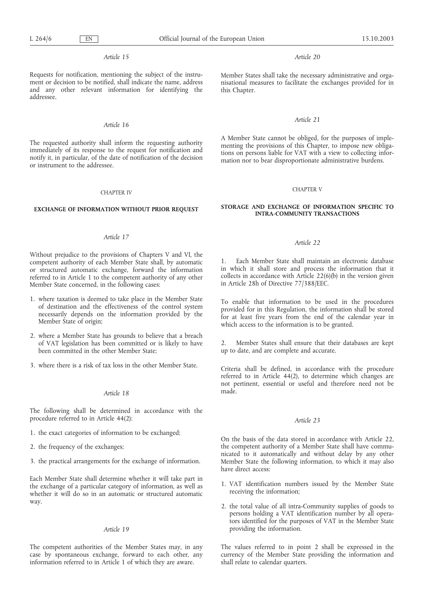Requests for notification, mentioning the subject of the instrument or decision to be notified, shall indicate the name, address and any other relevant information for identifying the addressee.

# *Article 16*

The requested authority shall inform the requesting authority immediately of its response to the request for notification and notify it, in particular, of the date of notification of the decision or instrument to the addressee.

#### CHAPTER IV

# **EXCHANGE OF INFORMATION WITHOUT PRIOR REQUEST**

### *Article 17*

Without prejudice to the provisions of Chapters V and VI, the competent authority of each Member State shall, by automatic or structured automatic exchange, forward the information referred to in Article 1 to the competent authority of any other Member State concerned, in the following cases:

- 1. where taxation is deemed to take place in the Member State of destination and the effectiveness of the control system necessarily depends on the information provided by the Member State of origin;
- 2. where a Member State has grounds to believe that a breach of VAT legislation has been committed or is likely to have been committed in the other Member State;
- 3. where there is a risk of tax loss in the other Member State.

## *Article 18*

The following shall be determined in accordance with the procedure referred to in Article 44(2):

- 1. the exact categories of information to be exchanged;
- 2. the frequency of the exchanges;
- 3. the practical arrangements for the exchange of information.

Each Member State shall determine whether it will take part in the exchange of a particular category of information, as well as whether it will do so in an automatic or structured automatic way.

#### *Article 19*

The competent authorities of the Member States may, in any case by spontaneous exchange, forward to each other, any information referred to in Article 1 of which they are aware.

#### *Article 20*

Member States shall take the necessary administrative and organisational measures to facilitate the exchanges provided for in this Chapter.

#### *Article 21*

A Member State cannot be obliged, for the purposes of implementing the provisions of this Chapter, to impose new obligations on persons liable for VAT with a view to collecting information nor to bear disproportionate administrative burdens.

#### CHAPTER V

### **STORAGE AND EXCHANGE OF INFORMATION SPECIFIC TO INTRA-COMMUNITY TRANSACTIONS**

## *Article 22*

1. Each Member State shall maintain an electronic database in which it shall store and process the information that it collects in accordance with Article 22(6)(b) in the version given in Article 28h of Directive 77/388/EEC.

To enable that information to be used in the procedures provided for in this Regulation, the information shall be stored for at least five years from the end of the calendar year in which access to the information is to be granted.

2. Member States shall ensure that their databases are kept up to date, and are complete and accurate.

Criteria shall be defined, in accordance with the procedure referred to in Article 44(2), to determine which changes are not pertinent, essential or useful and therefore need not be made.

#### *Article 23*

On the basis of the data stored in accordance with Article 22, the competent authority of a Member State shall have communicated to it automatically and without delay by any other Member State the following information, to which it may also have direct access:

- 1. VAT identification numbers issued by the Member State receiving the information;
- 2. the total value of all intra-Community supplies of goods to persons holding a VAT identification number by all operators identified for the purposes of VAT in the Member State providing the information.

The values referred to in point 2 shall be expressed in the currency of the Member State providing the information and shall relate to calendar quarters.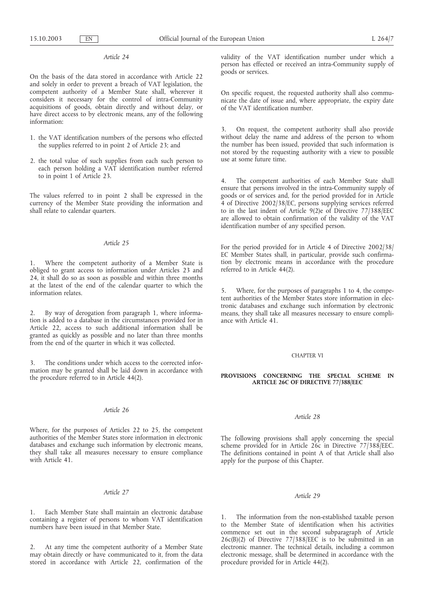On the basis of the data stored in accordance with Article 22 and solely in order to prevent a breach of VAT legislation, the competent authority of a Member State shall, wherever it considers it necessary for the control of intra-Community acquisitions of goods, obtain directly and without delay, or have direct access to by electronic means, any of the following information:

- 1. the VAT identification numbers of the persons who effected the supplies referred to in point 2 of Article 23; and
- 2. the total value of such supplies from each such person to each person holding a VAT identification number referred to in point 1 of Article 23.

The values referred to in point 2 shall be expressed in the currency of the Member State providing the information and shall relate to calendar quarters.

## *Article 25*

Where the competent authority of a Member State is obliged to grant access to information under Articles 23 and 24, it shall do so as soon as possible and within three months at the latest of the end of the calendar quarter to which the information relates.

2. By way of derogation from paragraph 1, where information is added to a database in the circumstances provided for in Article 22, access to such additional information shall be granted as quickly as possible and no later than three months from the end of the quarter in which it was collected.

3. The conditions under which access to the corrected information may be granted shall be laid down in accordance with the procedure referred to in Article 44(2).

# *Article 26*

Where, for the purposes of Articles 22 to 25, the competent authorities of the Member States store information in electronic databases and exchange such information by electronic means, they shall take all measures necessary to ensure compliance with Article 41.

# *Article 27*

1. Each Member State shall maintain an electronic database containing a register of persons to whom VAT identification numbers have been issued in that Member State.

2. At any time the competent authority of a Member State may obtain directly or have communicated to it, from the data stored in accordance with Article 22, confirmation of the validity of the VAT identification number under which a person has effected or received an intra-Community supply of goods or services.

On specific request, the requested authority shall also communicate the date of issue and, where appropriate, the expiry date of the VAT identification number.

3. On request, the competent authority shall also provide without delay the name and address of the person to whom the number has been issued, provided that such information is not stored by the requesting authority with a view to possible use at some future time.

4. The competent authorities of each Member State shall ensure that persons involved in the intra-Community supply of goods or of services and, for the period provided for in Article 4 of Directive 2002/38/EC, persons supplying services referred to in the last indent of Article 9(2)e of Directive 77/388/EEC are allowed to obtain confirmation of the validity of the VAT identification number of any specified person.

For the period provided for in Article 4 of Directive 2002/38/ EC Member States shall, in particular, provide such confirmation by electronic means in accordance with the procedure referred to in Article 44(2).

5. Where, for the purposes of paragraphs 1 to 4, the competent authorities of the Member States store information in electronic databases and exchange such information by electronic means, they shall take all measures necessary to ensure compliance with Article 41.

#### CHAPTER VI

## **PROVISIONS CONCERNING THE SPECIAL SCHEME IN ARTICLE 26C OF DIRECTIVE 77/388/EEC**

## *Article 28*

The following provisions shall apply concerning the special scheme provided for in Article 26c in Directive 77/388/EEC. The definitions contained in point A of that Article shall also apply for the purpose of this Chapter.

#### *Article 29*

1. The information from the non-established taxable person to the Member State of identification when his activities commence set out in the second subparagraph of Article 26c(B)(2) of Directive 77/388/EEC is to be submitted in an electronic manner. The technical details, including a common electronic message, shall be determined in accordance with the procedure provided for in Article 44(2).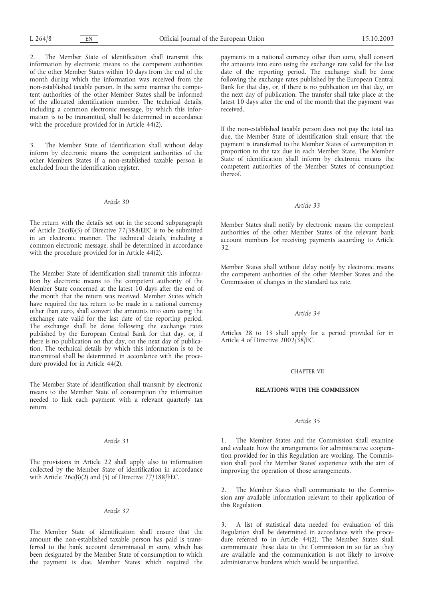2. The Member State of identification shall transmit this information by electronic means to the competent authorities of the other Member States within 10 days from the end of the month during which the information was received from the non-established taxable person. In the same manner the competent authorities of the other Member States shall be informed of the allocated identification number. The technical details, including a common electronic message, by which this information is to be transmitted, shall be determined in accordance with the procedure provided for in Article 44(2).

The Member State of identification shall without delay inform by electronic means the competent authorities of the other Members States if a non-established taxable person is excluded from the identification register.

### *Article 30*

The return with the details set out in the second subparagraph of Article 26c(B)(5) of Directive 77/388/EEC is to be submitted in an electronic manner. The technical details, including a common electronic message, shall be determined in accordance with the procedure provided for in Article 44(2).

The Member State of identification shall transmit this information by electronic means to the competent authority of the Member State concerned at the latest 10 days after the end of the month that the return was received. Member States which have required the tax return to be made in a national currency other than euro, shall convert the amounts into euro using the exchange rate valid for the last date of the reporting period. The exchange shall be done following the exchange rates published by the European Central Bank for that day, or, if there is no publication on that day, on the next day of publication. The technical details by which this information is to be transmitted shall be determined in accordance with the procedure provided for in Article 44(2).

The Member State of identification shall transmit by electronic means to the Member State of consumption the information needed to link each payment with a relevant quarterly tax return.

# *Article 31*

The provisions in Article 22 shall apply also to information collected by the Member State of identification in accordance with Article 26c(B)(2) and (5) of Directive 77/388/EEC.

# *Article 32*

The Member State of identification shall ensure that the amount the non-established taxable person has paid is transferred to the bank account denominated in euro, which has been designated by the Member State of consumption to which the payment is due. Member States which required the

payments in a national currency other than euro, shall convert the amounts into euro using the exchange rate valid for the last date of the reporting period. The exchange shall be done following the exchange rates published by the European Central Bank for that day, or, if there is no publication on that day, on the next day of publication. The transfer shall take place at the latest 10 days after the end of the month that the payment was received.

If the non-established taxable person does not pay the total tax due, the Member State of identification shall ensure that the payment is transferred to the Member States of consumption in proportion to the tax due in each Member State. The Member State of identification shall inform by electronic means the competent authorities of the Member States of consumption thereof.

## *Article 33*

Member States shall notify by electronic means the competent authorities of the other Member States of the relevant bank account numbers for receiving payments according to Article 32.

Member States shall without delay notify by electronic means the competent authorities of the other Member States and the Commission of changes in the standard tax rate.

#### *Article 34*

Articles 28 to 33 shall apply for a period provided for in Article 4 of Directive 2002/38/EC.

#### CHAPTER VII

## **RELATIONS WITH THE COMMISSION**

#### *Article 35*

1. The Member States and the Commission shall examine and evaluate how the arrangements for administrative cooperation provided for in this Regulation are working. The Commission shall pool the Member States' experience with the aim of improving the operation of those arrangements.

2. The Member States shall communicate to the Commission any available information relevant to their application of this Regulation.

3. A list of statistical data needed for evaluation of this Regulation shall be determined in accordance with the procedure referred to in Article 44(2). The Member States shall communicate these data to the Commission in so far as they are available and the communication is not likely to involve administrative burdens which would be unjustified.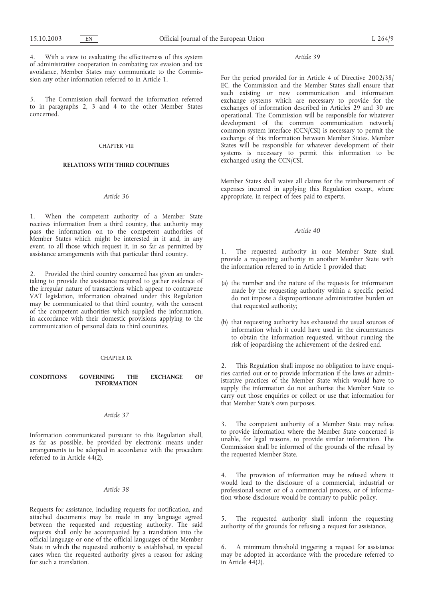4. With a view to evaluating the effectiveness of this system of administrative cooperation in combating tax evasion and tax avoidance, Member States may communicate to the Commission any other information referred to in Article 1.

5. The Commission shall forward the information referred to in paragraphs 2, 3 and 4 to the other Member States concerned.

#### CHAPTER VIII

## **RELATIONS WITH THIRD COUNTRIES**

#### *Article 36*

1. When the competent authority of a Member State receives information from a third country, that authority may pass the information on to the competent authorities of Member States which might be interested in it and, in any event, to all those which request it, in so far as permitted by assistance arrangements with that particular third country.

2. Provided the third country concerned has given an undertaking to provide the assistance required to gather evidence of the irregular nature of transactions which appear to contravene VAT legislation, information obtained under this Regulation may be communicated to that third country, with the consent of the competent authorities which supplied the information, in accordance with their domestic provisions applying to the communication of personal data to third countries.

### CHAPTER IX

**CONDITIONS GOVERNING THE EXCHANGE OF INFORMATION**

#### *Article 37*

Information communicated pursuant to this Regulation shall, as far as possible, be provided by electronic means under arrangements to be adopted in accordance with the procedure referred to in Article  $44(2)$ .

## *Article 38*

Requests for assistance, including requests for notification, and attached documents may be made in any language agreed between the requested and requesting authority. The said requests shall only be accompanied by a translation into the official language or one of the official languages of the Member State in which the requested authority is established, in special cases when the requested authority gives a reason for asking for such a translation.

## *Article 39*

For the period provided for in Article 4 of Directive 2002/38/ EC, the Commission and the Member States shall ensure that such existing or new communication and information exchange systems which are necessary to provide for the exchanges of information described in Articles 29 and 30 are operational. The Commission will be responsible for whatever development of the common communication network/ common system interface (CCN/CSI) is necessary to permit the exchange of this information between Member States. Member States will be responsible for whatever development of their systems is necessary to permit this information to be exchanged using the CCN/CSI.

Member States shall waive all claims for the reimbursement of expenses incurred in applying this Regulation except, where appropriate, in respect of fees paid to experts.

# *Article 40*

1. The requested authority in one Member State shall provide a requesting authority in another Member State with the information referred to in Article 1 provided that:

- (a) the number and the nature of the requests for information made by the requesting authority within a specific period do not impose a disproportionate administrative burden on that requested authority;
- (b) that requesting authority has exhausted the usual sources of information which it could have used in the circumstances to obtain the information requested, without running the risk of jeopardising the achievement of the desired end.

2. This Regulation shall impose no obligation to have enquiries carried out or to provide information if the laws or administrative practices of the Member State which would have to supply the information do not authorise the Member State to carry out those enquiries or collect or use that information for that Member State's own purposes.

3. The competent authority of a Member State may refuse to provide information where the Member State concerned is unable, for legal reasons, to provide similar information. The Commission shall be informed of the grounds of the refusal by the requested Member State.

4. The provision of information may be refused where it would lead to the disclosure of a commercial, industrial or professional secret or of a commercial process, or of information whose disclosure would be contrary to public policy.

5. The requested authority shall inform the requesting authority of the grounds for refusing a request for assistance.

6. A minimum threshold triggering a request for assistance may be adopted in accordance with the procedure referred to in Article 44(2).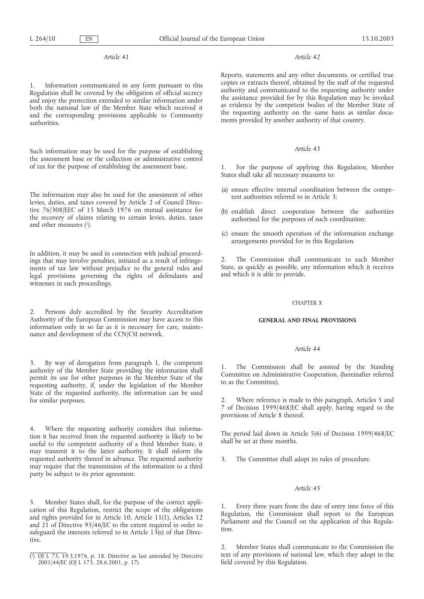1. Information communicated in any form pursuant to this Regulation shall be covered by the obligation of official secrecy and enjoy the protection extended to similar information under both the national law of the Member State which received it and the corresponding provisions applicable to Community authorities.

Such information may be used for the purpose of establishing the assessment base or the collection or administrative control of tax for the purpose of establishing the assessment base.

The information may also be used for the assessment of other levies, duties, and taxes covered by Article 2 of Council Directive 76/308/EEC of 15 March 1976 on mutual assistance for the recovery of claims relating to certain levies, duties, taxes and other measures (1).

In addition, it may be used in connection with judicial proceedings that may involve penalties, initiated as a result of infringements of tax law without prejudice to the general rules and legal provisions governing the rights of defendants and witnesses in such proceedings.

2. Persons duly accredited by the Security Accreditation Authority of the European Commission may have access to this information only in so far as it is necessary for care, maintenance and development of the CCN/CSI network.

3. By way of derogation from paragraph 1, the competent authority of the Member State providing the information shall permit its use for other purposes in the Member State of the requesting authority, if, under the legislation of the Member State of the requested authority, the information can be used for similar purposes.

4. Where the requesting authority considers that information it has received from the requested authority is likely to be useful to the competent authority of a third Member State, it may transmit it to the latter authority. It shall inform the requested authority thereof in advance. The requested authority may require that the transmission of the information to a third party be subject to its prior agreement.

5. Member States shall, for the purpose of the correct application of this Regulation, restrict the scope of the obligations and rights provided for in Article 10, Article 11(1), Articles 12 and 21 of Directive 95/46/EC to the extent required in order to safeguard the interests referred to in Article  $13$ (e) of that Directive.

# *Article 42*

Reports, statements and any other documents, or certified true copies or extracts thereof, obtained by the staff of the requested authority and communicated to the requesting authority under the assistance provided for by this Regulation may be invoked as evidence by the competent bodies of the Member State of the requesting authority on the same basis as similar documents provided by another authority of that country.

### *Article 43*

1. For the purpose of applying this Regulation, Member States shall take all necessary measures to:

- (a) ensure effective internal coordination between the competent authorities referred to in Article 3;
- (b) establish direct cooperation between the authorities authorised for the purposes of such coordination;
- (c) ensure the smooth operation of the information exchange arrangements provided for in this Regulation.

2. The Commission shall communicate to each Member State, as quickly as possible, any information which it receives and which it is able to provide.

#### CHAPTER X

#### **GENERAL AND FINAL PROVISIONS**

### *Article 44*

1. The Commission shall be assisted by the Standing Committee on Administrative Cooperation, (hereinafter referred to as the Committee).

2. Where reference is made to this paragraph, Articles 5 and 7 of Decision 1999/468/EC shall apply, having regard to the provisions of Article 8 thereof.

The period laid down in Article 5(6) of Decision 1999/468/EC shall be set at three months.

3. The Committee shall adopt its rules of procedure.

# *Article 45*

1. Every three years from the date of entry into force of this Regulation, the Commission shall report to the European Parliament and the Council on the application of this Regulation.

2. Member States shall communicate to the Commission the text of any provisions of national law, which they adopt in the field covered by this Regulation.

<sup>(</sup> 1 ) OJ L 73, 19.3.1976, p. 18. Directive as last amended by Directive 2001/44/EC (OJ L 175, 28.6.2001, p. 17).